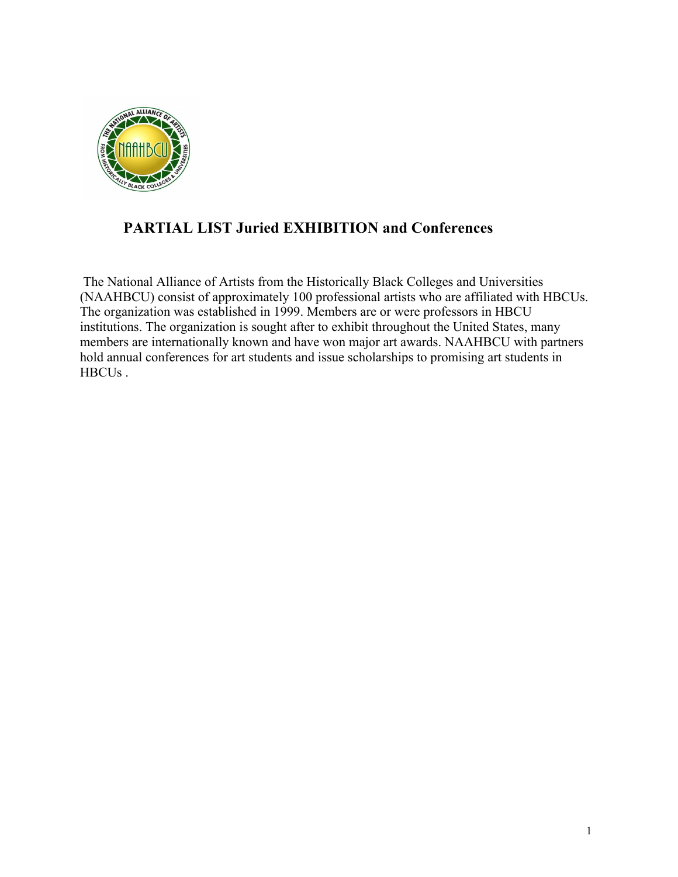

## **PARTIAL LIST Juried EXHIBITION and Conferences**

The National Alliance of Artists from the Historically Black Colleges and Universities (NAAHBCU) consist of approximately 100 professional artists who are affiliated with HBCUs. The organization was established in 1999. Members are or were professors in HBCU institutions. The organization is sought after to exhibit throughout the United States, many members are internationally known and have won major art awards. NAAHBCU with partners hold annual conferences for art students and issue scholarships to promising art students in HBCUs .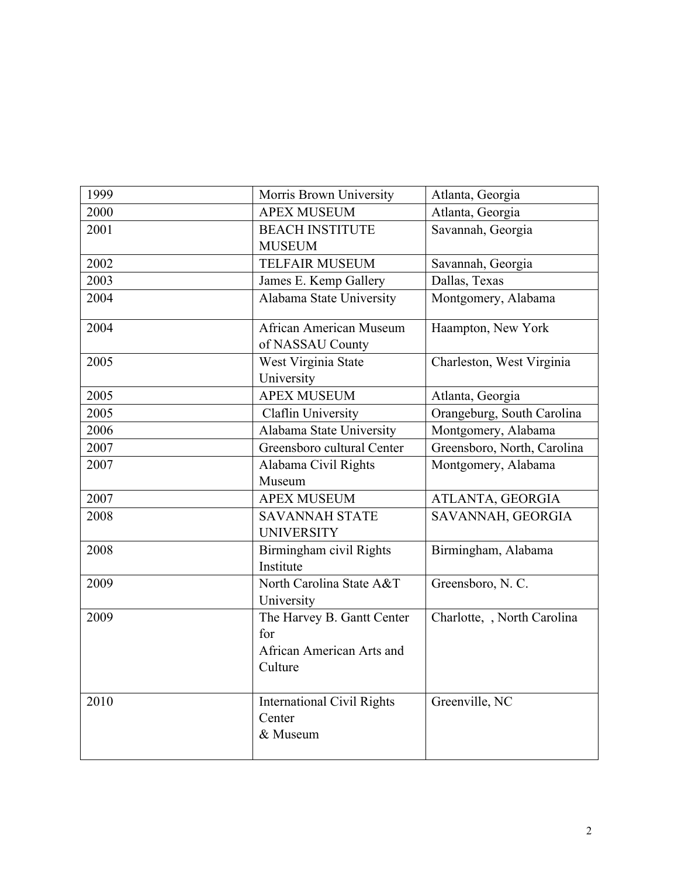| 1999 | Morris Brown University                                                   | Atlanta, Georgia            |
|------|---------------------------------------------------------------------------|-----------------------------|
| 2000 | <b>APEX MUSEUM</b>                                                        | Atlanta, Georgia            |
| 2001 | <b>BEACH INSTITUTE</b>                                                    | Savannah, Georgia           |
|      | <b>MUSEUM</b>                                                             |                             |
| 2002 | <b>TELFAIR MUSEUM</b>                                                     | Savannah, Georgia           |
| 2003 | James E. Kemp Gallery                                                     | Dallas, Texas               |
| 2004 | Alabama State University                                                  | Montgomery, Alabama         |
| 2004 | <b>African American Museum</b><br>of NASSAU County                        | Haampton, New York          |
| 2005 | West Virginia State<br>University                                         | Charleston, West Virginia   |
| 2005 | <b>APEX MUSEUM</b>                                                        | Atlanta, Georgia            |
| 2005 | Claflin University                                                        | Orangeburg, South Carolina  |
| 2006 | Alabama State University                                                  | Montgomery, Alabama         |
| 2007 | Greensboro cultural Center                                                | Greensboro, North, Carolina |
| 2007 | Alabama Civil Rights                                                      | Montgomery, Alabama         |
|      | Museum                                                                    |                             |
| 2007 | <b>APEX MUSEUM</b>                                                        | ATLANTA, GEORGIA            |
| 2008 | <b>SAVANNAH STATE</b><br><b>UNIVERSITY</b>                                | SAVANNAH, GEORGIA           |
| 2008 | Birmingham civil Rights<br>Institute                                      | Birmingham, Alabama         |
| 2009 | North Carolina State A&T<br>University                                    | Greensboro, N.C.            |
| 2009 | The Harvey B. Gantt Center<br>for<br>African American Arts and<br>Culture | Charlotte, , North Carolina |
| 2010 | <b>International Civil Rights</b><br>Center<br>& Museum                   | Greenville, NC              |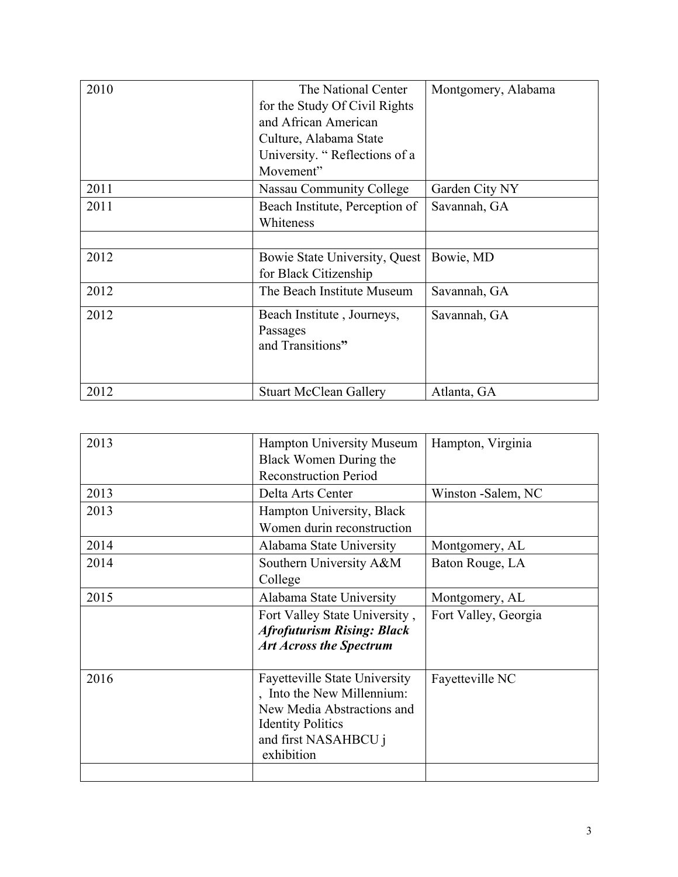| 2010 | The National Center            | Montgomery, Alabama |
|------|--------------------------------|---------------------|
|      | for the Study Of Civil Rights  |                     |
|      | and African American           |                     |
|      | Culture, Alabama State         |                     |
|      | University. "Reflections of a  |                     |
|      | Movement"                      |                     |
| 2011 | Nassau Community College       | Garden City NY      |
| 2011 | Beach Institute, Perception of | Savannah, GA        |
|      | Whiteness                      |                     |
|      |                                |                     |
| 2012 | Bowie State University, Quest  | Bowie, MD           |
|      | for Black Citizenship          |                     |
| 2012 | The Beach Institute Museum     | Savannah, GA        |
| 2012 | Beach Institute, Journeys,     | Savannah, GA        |
|      | Passages                       |                     |
|      | and Transitions"               |                     |
|      |                                |                     |
| 2012 | <b>Stuart McClean Gallery</b>  | Atlanta, GA         |

| 2013 | <b>Hampton University Museum</b>     | Hampton, Virginia    |
|------|--------------------------------------|----------------------|
|      | Black Women During the               |                      |
|      | <b>Reconstruction Period</b>         |                      |
| 2013 | Delta Arts Center                    | Winston -Salem, NC   |
| 2013 | Hampton University, Black            |                      |
|      | Women durin reconstruction           |                      |
| 2014 | Alabama State University             | Montgomery, AL       |
| 2014 | Southern University A&M              | Baton Rouge, LA      |
|      | College                              |                      |
| 2015 | Alabama State University             | Montgomery, AL       |
|      | Fort Valley State University,        | Fort Valley, Georgia |
|      | <b>Afrofuturism Rising: Black</b>    |                      |
|      | <b>Art Across the Spectrum</b>       |                      |
|      |                                      |                      |
| 2016 | <b>Fayetteville State University</b> | Fayetteville NC      |
|      | , Into the New Millennium:           |                      |
|      | New Media Abstractions and           |                      |
|      | <b>Identity Politics</b>             |                      |
|      | and first NASAHBCU j                 |                      |
|      | exhibition                           |                      |
|      |                                      |                      |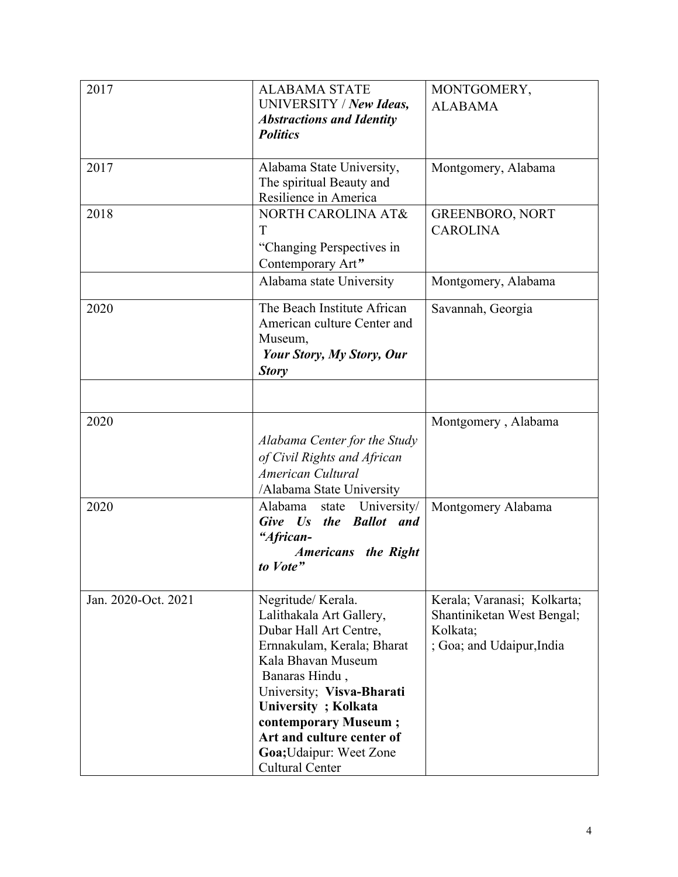| 2017                | <b>ALABAMA STATE</b><br>UNIVERSITY / New Ideas,                                                                                                                                                                                                                                                      | MONTGOMERY,<br><b>ALABAMA</b>                                                                      |
|---------------------|------------------------------------------------------------------------------------------------------------------------------------------------------------------------------------------------------------------------------------------------------------------------------------------------------|----------------------------------------------------------------------------------------------------|
|                     | <b>Abstractions and Identity</b><br><b>Politics</b>                                                                                                                                                                                                                                                  |                                                                                                    |
| 2017                | Alabama State University,<br>The spiritual Beauty and<br>Resilience in America                                                                                                                                                                                                                       | Montgomery, Alabama                                                                                |
| 2018                | NORTH CAROLINA AT&<br>T<br>"Changing Perspectives in<br>Contemporary Art"                                                                                                                                                                                                                            | <b>GREENBORO, NORT</b><br><b>CAROLINA</b>                                                          |
|                     | Alabama state University                                                                                                                                                                                                                                                                             | Montgomery, Alabama                                                                                |
| 2020                | The Beach Institute African<br>American culture Center and<br>Museum,<br><b>Your Story, My Story, Our</b><br><b>Story</b>                                                                                                                                                                            | Savannah, Georgia                                                                                  |
|                     |                                                                                                                                                                                                                                                                                                      |                                                                                                    |
| 2020                | Alabama Center for the Study<br>of Civil Rights and African<br>American Cultural<br>/Alabama State University                                                                                                                                                                                        | Montgomery, Alabama                                                                                |
| 2020                | Alabama<br>University/<br>state<br>Give Us the Ballot and<br>"African-<br><b>Americans</b> the Right<br>to Vote"                                                                                                                                                                                     | Montgomery Alabama                                                                                 |
| Jan. 2020-Oct. 2021 | Negritude/Kerala.<br>Lalithakala Art Gallery,<br>Dubar Hall Art Centre,<br>Ernnakulam, Kerala; Bharat<br>Kala Bhavan Museum<br>Banaras Hindu,<br>University; Visva-Bharati<br>University; Kolkata<br>contemporary Museum;<br>Art and culture center of<br>Goa; Udaipur: Weet Zone<br>Cultural Center | Kerala; Varanasi; Kolkarta;<br>Shantiniketan West Bengal;<br>Kolkata;<br>; Goa; and Udaipur, India |